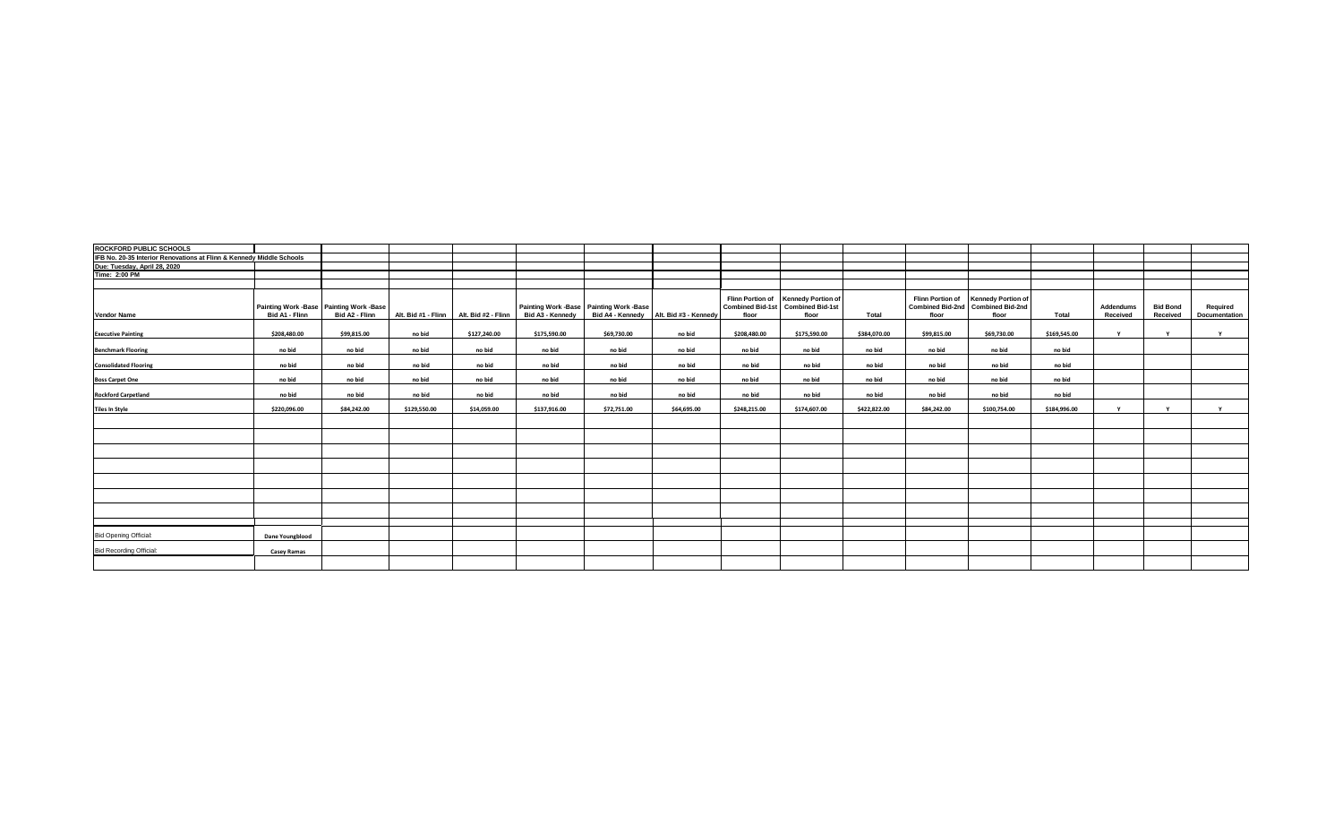| <b>ROCKFORD PUBLIC SCHOOLS</b>                                       |                 |                                                           |                     |                     |                  |                                         |                                        |              |                                                                                   |              |             |                                                                                   |              |                       |                             |                           |
|----------------------------------------------------------------------|-----------------|-----------------------------------------------------------|---------------------|---------------------|------------------|-----------------------------------------|----------------------------------------|--------------|-----------------------------------------------------------------------------------|--------------|-------------|-----------------------------------------------------------------------------------|--------------|-----------------------|-----------------------------|---------------------------|
| IFB No. 20-35 Interior Renovations at Flinn & Kennedy Middle Schools |                 |                                                           |                     |                     |                  |                                         |                                        |              |                                                                                   |              |             |                                                                                   |              |                       |                             |                           |
| Due: Tuesday, April 28, 2020                                         |                 |                                                           |                     |                     |                  |                                         |                                        |              |                                                                                   |              |             |                                                                                   |              |                       |                             |                           |
| <b>Time: 2:00 PM</b>                                                 |                 |                                                           |                     |                     |                  |                                         |                                        |              |                                                                                   |              |             |                                                                                   |              |                       |                             |                           |
|                                                                      |                 |                                                           |                     |                     |                  |                                         |                                        |              |                                                                                   |              |             |                                                                                   |              |                       |                             |                           |
| <b>Vendor Name</b>                                                   | Bid A1 - Flinn  | Painting Work -Base Painting Work -Base<br>Bid A2 - Flinn | Alt. Bid #1 - Flinn | Alt. Bid #2 - Flinn | Bid A3 - Kennedy | Painting Work -Base Painting Work -Base | Bid A4 - Kennedy Alt. Bid #3 - Kennedy | floor        | Flinn Portion of Kennedy Portion of<br>Combined Bid-1st Combined Bid-1st<br>floor | <b>Total</b> | floor       | Flinn Portion of Kennedy Portion of<br>Combined Bid-2nd Combined Bid-2nd<br>floor | Total        | Addendums<br>Received | <b>Bid Bond</b><br>Received | Required<br>Documentation |
| <b>Executive Painting</b>                                            | \$208,480.00    | \$99,815.00                                               | no bid              | \$127,240.00        | \$175,590.00     | \$69,730.00                             | no bid                                 | \$208,480.00 | \$175,590.00                                                                      | \$384,070.00 | \$99,815.00 | \$69,730.00                                                                       | \$169,545.00 | $\mathbf{v}$          | v                           | Y                         |
| <b>Benchmark Flooring</b>                                            | no bid          | no bid                                                    | no bid              | no bid              | no bid           | no bid                                  | no bid                                 | no bid       | no bid                                                                            | no bid       | no bid      | no bid                                                                            | no bid       |                       |                             |                           |
| <b>Consolidated Flooring</b>                                         | no bid          | no bid                                                    | no bid              | no bid              | no bid           | no bid                                  | no bid                                 | no bid       | no bid                                                                            | no bid       | no bid      | no bid                                                                            | no bid       |                       |                             |                           |
| <b>Boss Carpet One</b>                                               | no bid          | no bid                                                    | no bid              | no bid              | no bid           | no bid                                  | no bid                                 | no bid       | no bid                                                                            | no bid       | no bid      | no bid                                                                            | no bid       |                       |                             |                           |
| <b>Rockford Carpetland</b>                                           | no bid          | no bid                                                    | no bid              | no bid              | no bid           | no bid                                  | no bid                                 | no bid       | no bid                                                                            | no bid       | no bid      | no bid                                                                            | no bid       |                       |                             |                           |
| <b>Tiles In Style</b>                                                | \$220,096.00    | \$84,242.00                                               | \$129,550.00        | \$14,059.00         | \$137,916.00     | \$72,751.00                             | \$64,695.00                            | \$248,215.00 | \$174,607.00                                                                      | \$422,822.00 | \$84,242.00 | \$100,754.00                                                                      | \$184,996.00 | $\mathbf{v}$          | $\mathbf{v}$                | Y                         |
|                                                                      |                 |                                                           |                     |                     |                  |                                         |                                        |              |                                                                                   |              |             |                                                                                   |              |                       |                             |                           |
|                                                                      |                 |                                                           |                     |                     |                  |                                         |                                        |              |                                                                                   |              |             |                                                                                   |              |                       |                             |                           |
|                                                                      |                 |                                                           |                     |                     |                  |                                         |                                        |              |                                                                                   |              |             |                                                                                   |              |                       |                             |                           |
|                                                                      |                 |                                                           |                     |                     |                  |                                         |                                        |              |                                                                                   |              |             |                                                                                   |              |                       |                             |                           |
|                                                                      |                 |                                                           |                     |                     |                  |                                         |                                        |              |                                                                                   |              |             |                                                                                   |              |                       |                             |                           |
|                                                                      |                 |                                                           |                     |                     |                  |                                         |                                        |              |                                                                                   |              |             |                                                                                   |              |                       |                             |                           |
|                                                                      |                 |                                                           |                     |                     |                  |                                         |                                        |              |                                                                                   |              |             |                                                                                   |              |                       |                             |                           |
| <b>Bid Opening Official:</b>                                         | Dane Youngblood |                                                           |                     |                     |                  |                                         |                                        |              |                                                                                   |              |             |                                                                                   |              |                       |                             |                           |
| <b>Bid Recording Official:</b>                                       | Casey Ramas     |                                                           |                     |                     |                  |                                         |                                        |              |                                                                                   |              |             |                                                                                   |              |                       |                             |                           |
|                                                                      |                 |                                                           |                     |                     |                  |                                         |                                        |              |                                                                                   |              |             |                                                                                   |              |                       |                             |                           |